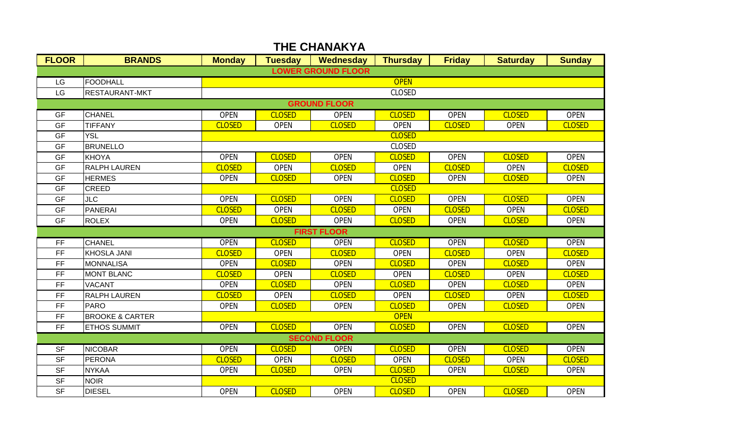| <b>FLOOR</b>              | <b>BRANDS</b>              | <b>Monday</b> | <b>Tuesday</b> | Wednesday           | <b>Thursday</b> | <b>Friday</b> | <b>Saturday</b> | <b>Sunday</b> |  |  |  |
|---------------------------|----------------------------|---------------|----------------|---------------------|-----------------|---------------|-----------------|---------------|--|--|--|
| <b>LOWER GROUND FLOOR</b> |                            |               |                |                     |                 |               |                 |               |  |  |  |
| LG                        | FOODHALL                   | <b>OPEN</b>   |                |                     |                 |               |                 |               |  |  |  |
| LG                        | <b>RESTAURANT-MKT</b>      | <b>CLOSED</b> |                |                     |                 |               |                 |               |  |  |  |
| <b>GROUND FLOOR</b>       |                            |               |                |                     |                 |               |                 |               |  |  |  |
| <b>GF</b>                 | <b>CHANEL</b>              | <b>OPEN</b>   | <b>CLOSED</b>  | <b>OPEN</b>         | <b>CLOSED</b>   | <b>OPEN</b>   | <b>CLOSED</b>   | <b>OPEN</b>   |  |  |  |
| <b>GF</b>                 | <b>TIFFANY</b>             | <b>CLOSED</b> | <b>OPEN</b>    | <b>CLOSED</b>       | <b>OPEN</b>     | <b>CLOSED</b> | <b>OPEN</b>     | <b>CLOSED</b> |  |  |  |
| GF                        | <b>YSL</b>                 | <b>CLOSED</b> |                |                     |                 |               |                 |               |  |  |  |
| <b>GF</b>                 | <b>BRUNELLO</b>            | <b>CLOSED</b> |                |                     |                 |               |                 |               |  |  |  |
| <b>GF</b>                 | <b>KHOYA</b>               | <b>OPEN</b>   | <b>CLOSED</b>  | <b>OPEN</b>         | <b>CLOSED</b>   | <b>OPEN</b>   | <b>CLOSED</b>   | <b>OPEN</b>   |  |  |  |
| GF                        | <b>RALPH LAUREN</b>        | <b>CLOSED</b> | <b>OPEN</b>    | <b>CLOSED</b>       | <b>OPEN</b>     | <b>CLOSED</b> | <b>OPEN</b>     | <b>CLOSED</b> |  |  |  |
| GF                        | <b>HERMES</b>              | <b>OPEN</b>   | <b>CLOSED</b>  | <b>OPEN</b>         | <b>CLOSED</b>   | <b>OPEN</b>   | <b>CLOSED</b>   | <b>OPEN</b>   |  |  |  |
| <b>GF</b>                 | <b>CREED</b>               | <b>CLOSED</b> |                |                     |                 |               |                 |               |  |  |  |
| <b>GF</b>                 | <b>JLC</b>                 | <b>OPEN</b>   | <b>CLOSED</b>  | <b>OPEN</b>         | <b>CLOSED</b>   | <b>OPEN</b>   | <b>CLOSED</b>   | <b>OPEN</b>   |  |  |  |
| GF                        | <b>PANERAI</b>             | <b>CLOSED</b> | <b>OPEN</b>    | <b>CLOSED</b>       | <b>OPEN</b>     | <b>CLOSED</b> | <b>OPEN</b>     | <b>CLOSED</b> |  |  |  |
| <b>GF</b>                 | <b>ROLEX</b>               | <b>OPEN</b>   | <b>CLOSED</b>  | <b>OPEN</b>         | <b>CLOSED</b>   | <b>OPEN</b>   | <b>CLOSED</b>   | <b>OPEN</b>   |  |  |  |
|                           |                            |               |                | <b>FIRST FLOOR</b>  |                 |               |                 |               |  |  |  |
| <b>FF</b>                 | <b>CHANEL</b>              | <b>OPEN</b>   | <b>CLOSED</b>  | <b>OPEN</b>         | <b>CLOSED</b>   | <b>OPEN</b>   | <b>CLOSED</b>   | <b>OPEN</b>   |  |  |  |
| <b>FF</b>                 | <b>KHOSLA JANI</b>         | <b>CLOSED</b> | <b>OPEN</b>    | <b>CLOSED</b>       | <b>OPEN</b>     | <b>CLOSED</b> | <b>OPEN</b>     | <b>CLOSED</b> |  |  |  |
| FF                        | <b>MONNALISA</b>           | <b>OPEN</b>   | <b>CLOSED</b>  | <b>OPEN</b>         | <b>CLOSED</b>   | <b>OPEN</b>   | <b>CLOSED</b>   | <b>OPEN</b>   |  |  |  |
| <b>FF</b>                 | <b>MONT BLANC</b>          | <b>CLOSED</b> | <b>OPEN</b>    | <b>CLOSED</b>       | <b>OPEN</b>     | <b>CLOSED</b> | <b>OPEN</b>     | <b>CLOSED</b> |  |  |  |
| <b>FF</b>                 | <b>VACANT</b>              | <b>OPEN</b>   | <b>CLOSED</b>  | <b>OPEN</b>         | <b>CLOSED</b>   | <b>OPEN</b>   | <b>CLOSED</b>   | <b>OPEN</b>   |  |  |  |
| <b>FF</b>                 | <b>RALPH LAUREN</b>        | <b>CLOSED</b> | <b>OPEN</b>    | <b>CLOSED</b>       | <b>OPEN</b>     | <b>CLOSED</b> | <b>OPEN</b>     | <b>CLOSED</b> |  |  |  |
| FF                        | <b>PARO</b>                | <b>OPEN</b>   | <b>CLOSED</b>  | <b>OPEN</b>         | <b>CLOSED</b>   | <b>OPEN</b>   | <b>CLOSED</b>   | <b>OPEN</b>   |  |  |  |
| FF                        | <b>BROOKE &amp; CARTER</b> |               |                |                     | <b>OPEN</b>     |               |                 |               |  |  |  |
| <b>FF</b>                 | <b>ETHOS SUMMIT</b>        | <b>OPEN</b>   | <b>CLOSED</b>  | <b>OPEN</b>         | <b>CLOSED</b>   | <b>OPEN</b>   | <b>CLOSED</b>   | <b>OPEN</b>   |  |  |  |
|                           |                            |               |                | <b>SECOND FLOOR</b> |                 |               |                 |               |  |  |  |
| <b>SF</b>                 | <b>NICOBAR</b>             | <b>OPEN</b>   | <b>CLOSED</b>  | <b>OPEN</b>         | <b>CLOSED</b>   | <b>OPEN</b>   | <b>CLOSED</b>   | <b>OPEN</b>   |  |  |  |
| <b>SF</b>                 | PERONA                     | <b>CLOSED</b> | <b>OPEN</b>    | <b>CLOSED</b>       | <b>OPEN</b>     | <b>CLOSED</b> | <b>OPEN</b>     | <b>CLOSED</b> |  |  |  |
| <b>SF</b>                 | <b>NYKAA</b>               | <b>OPEN</b>   | <b>CLOSED</b>  | <b>OPEN</b>         | <b>CLOSED</b>   | <b>OPEN</b>   | <b>CLOSED</b>   | <b>OPEN</b>   |  |  |  |
| <b>SF</b>                 | <b>NOIR</b>                | <b>CLOSED</b> |                |                     |                 |               |                 |               |  |  |  |
| <b>SF</b>                 | <b>DIESEL</b>              | <b>OPEN</b>   | <b>CLOSED</b>  | <b>OPEN</b>         | <b>CLOSED</b>   | <b>OPEN</b>   | <b>CLOSED</b>   | <b>OPEN</b>   |  |  |  |

## **THE CHANAKYA**